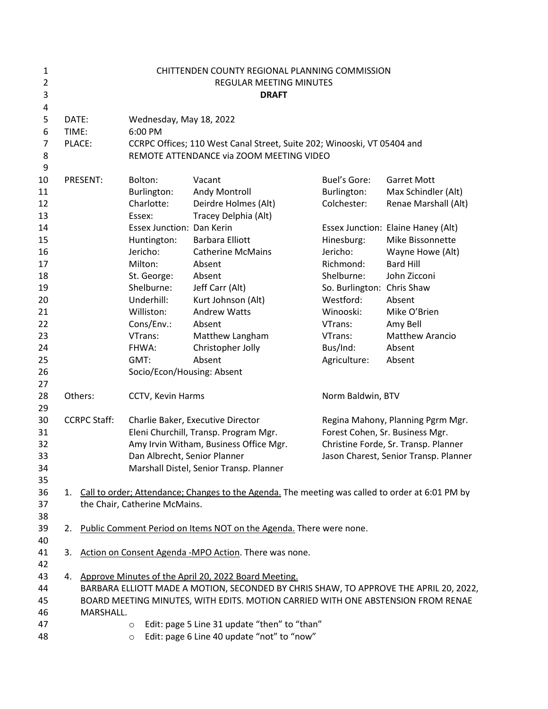| 1<br>$\overline{2}$ |         |                     |                                       | CHITTENDEN COUNTY REGIONAL PLANNING COMMISSION<br>REGULAR MEETING MINUTES                       |                                   |                                       |  |
|---------------------|---------|---------------------|---------------------------------------|-------------------------------------------------------------------------------------------------|-----------------------------------|---------------------------------------|--|
| 3                   |         |                     |                                       | <b>DRAFT</b>                                                                                    |                                   |                                       |  |
| 4                   |         |                     |                                       |                                                                                                 |                                   |                                       |  |
| 5                   | DATE:   |                     | Wednesday, May 18, 2022               |                                                                                                 |                                   |                                       |  |
| 6                   | TIME:   |                     | 6:00 PM                               |                                                                                                 |                                   |                                       |  |
| 7                   | PLACE:  |                     |                                       | CCRPC Offices; 110 West Canal Street, Suite 202; Winooski, VT 05404 and                         |                                   |                                       |  |
| 8                   |         |                     |                                       | REMOTE ATTENDANCE via ZOOM MEETING VIDEO                                                        |                                   |                                       |  |
| 9                   |         |                     |                                       |                                                                                                 |                                   |                                       |  |
| 10                  |         | PRESENT:            | Bolton:                               | Vacant                                                                                          | Buel's Gore:                      | <b>Garret Mott</b>                    |  |
| 11                  |         |                     | Burlington:                           | Andy Montroll                                                                                   | Burlington:                       | Max Schindler (Alt)                   |  |
| 12                  |         |                     | Charlotte:                            | Deirdre Holmes (Alt)                                                                            | Colchester:                       | Renae Marshall (Alt)                  |  |
| 13                  |         |                     | Essex:                                | Tracey Delphia (Alt)                                                                            |                                   |                                       |  |
| 14                  |         |                     | Essex Junction: Dan Kerin             |                                                                                                 |                                   | Essex Junction: Elaine Haney (Alt)    |  |
| 15                  |         |                     | Huntington:                           | <b>Barbara Elliott</b>                                                                          | Hinesburg:                        | Mike Bissonnette                      |  |
| 16                  |         |                     | Jericho:                              | <b>Catherine McMains</b>                                                                        | Jericho:                          | Wayne Howe (Alt)                      |  |
| 17                  |         |                     | Milton:                               | Absent                                                                                          | Richmond:                         | <b>Bard Hill</b>                      |  |
| 18                  |         |                     | St. George:                           | Absent                                                                                          | Shelburne:                        | John Zicconi                          |  |
| 19                  |         |                     | Shelburne:                            | Jeff Carr (Alt)                                                                                 | So. Burlington: Chris Shaw        |                                       |  |
| 20                  |         |                     | Underhill:                            | Kurt Johnson (Alt)                                                                              | Westford:                         | Absent                                |  |
| 21                  |         |                     | Williston:                            | <b>Andrew Watts</b>                                                                             | Winooski:                         | Mike O'Brien                          |  |
| 22                  |         |                     | Cons/Env.:                            | Absent                                                                                          | VTrans:                           | Amy Bell                              |  |
| 23                  |         |                     | VTrans:                               | Matthew Langham                                                                                 | VTrans:                           | Matthew Arancio                       |  |
| 24                  |         |                     | FHWA:                                 | Christopher Jolly                                                                               | Bus/Ind:                          | Absent                                |  |
| 25                  |         |                     | GMT:                                  | Absent                                                                                          | Agriculture:                      | Absent                                |  |
| 26                  |         |                     | Socio/Econ/Housing: Absent            |                                                                                                 |                                   |                                       |  |
| 27                  |         |                     |                                       |                                                                                                 |                                   |                                       |  |
| 28                  | Others: |                     | CCTV, Kevin Harms                     |                                                                                                 | Norm Baldwin, BTV                 |                                       |  |
| 29                  |         |                     |                                       |                                                                                                 |                                   |                                       |  |
| 30                  |         | <b>CCRPC Staff:</b> | Charlie Baker, Executive Director     |                                                                                                 | Regina Mahony, Planning Pgrm Mgr. |                                       |  |
| 31                  |         |                     | Eleni Churchill, Transp. Program Mgr. |                                                                                                 | Forest Cohen, Sr. Business Mgr.   |                                       |  |
| 32                  |         |                     |                                       | Amy Irvin Witham, Business Office Mgr.                                                          |                                   | Christine Forde, Sr. Transp. Planner  |  |
| 33                  |         |                     | Dan Albrecht, Senior Planner          |                                                                                                 |                                   | Jason Charest, Senior Transp. Planner |  |
| 34                  |         |                     |                                       | Marshall Distel, Senior Transp. Planner                                                         |                                   |                                       |  |
| 35                  |         |                     |                                       |                                                                                                 |                                   |                                       |  |
| 36                  | 1.      |                     |                                       | Call to order; Attendance; Changes to the Agenda. The meeting was called to order at 6:01 PM by |                                   |                                       |  |
| 37                  |         |                     | the Chair, Catherine McMains.         |                                                                                                 |                                   |                                       |  |
| 38                  |         |                     |                                       |                                                                                                 |                                   |                                       |  |
| 39                  | 2.      |                     |                                       | Public Comment Period on Items NOT on the Agenda. There were none.                              |                                   |                                       |  |
| 40                  |         |                     |                                       |                                                                                                 |                                   |                                       |  |
| 41                  | 3.      |                     |                                       | Action on Consent Agenda -MPO Action. There was none.                                           |                                   |                                       |  |
| 42                  |         |                     |                                       |                                                                                                 |                                   |                                       |  |
| 43                  | 4.      |                     |                                       | Approve Minutes of the April 20, 2022 Board Meeting.                                            |                                   |                                       |  |
| 44                  |         |                     |                                       | BARBARA ELLIOTT MADE A MOTION, SECONDED BY CHRIS SHAW, TO APPROVE THE APRIL 20, 2022,           |                                   |                                       |  |
| 45                  |         |                     |                                       | BOARD MEETING MINUTES, WITH EDITS. MOTION CARRIED WITH ONE ABSTENSION FROM RENAE                |                                   |                                       |  |
| 46                  |         | MARSHALL.           |                                       |                                                                                                 |                                   |                                       |  |
| 47                  |         |                     | $\circ$                               | Edit: page 5 Line 31 update "then" to "than"                                                    |                                   |                                       |  |
| 48                  |         |                     | $\circ$                               | Edit: page 6 Line 40 update "not" to "now"                                                      |                                   |                                       |  |
|                     |         |                     |                                       |                                                                                                 |                                   |                                       |  |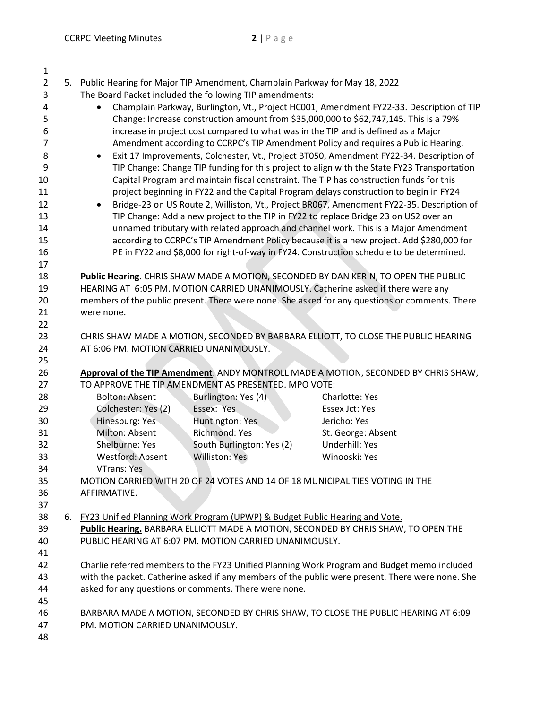| 1              |                                                                                                                                                                                     |                                                                                |                                                                                                  |  |
|----------------|-------------------------------------------------------------------------------------------------------------------------------------------------------------------------------------|--------------------------------------------------------------------------------|--------------------------------------------------------------------------------------------------|--|
| $\overline{2}$ |                                                                                                                                                                                     | 5. Public Hearing for Major TIP Amendment, Champlain Parkway for May 18, 2022  |                                                                                                  |  |
| 3              |                                                                                                                                                                                     | The Board Packet included the following TIP amendments:                        |                                                                                                  |  |
| 4              |                                                                                                                                                                                     |                                                                                | Champlain Parkway, Burlington, Vt., Project HC001, Amendment FY22-33. Description of TIP         |  |
| 5              |                                                                                                                                                                                     |                                                                                | Change: Increase construction amount from \$35,000,000 to \$62,747,145. This is a 79%            |  |
| 6              |                                                                                                                                                                                     |                                                                                | increase in project cost compared to what was in the TIP and is defined as a Major               |  |
| 7              |                                                                                                                                                                                     |                                                                                | Amendment according to CCRPC's TIP Amendment Policy and requires a Public Hearing.               |  |
| 8              | $\bullet$                                                                                                                                                                           |                                                                                | Exit 17 Improvements, Colchester, Vt., Project BT050, Amendment FY22-34. Description of          |  |
| 9              |                                                                                                                                                                                     |                                                                                | TIP Change: Change TIP funding for this project to align with the State FY23 Transportation      |  |
| 10             |                                                                                                                                                                                     |                                                                                | Capital Program and maintain fiscal constraint. The TIP has construction funds for this          |  |
| 11             |                                                                                                                                                                                     |                                                                                | project beginning in FY22 and the Capital Program delays construction to begin in FY24           |  |
| 12             |                                                                                                                                                                                     |                                                                                | Bridge-23 on US Route 2, Williston, Vt., Project BR067, Amendment FY22-35. Description of        |  |
| 13             |                                                                                                                                                                                     |                                                                                | TIP Change: Add a new project to the TIP in FY22 to replace Bridge 23 on US2 over an             |  |
| 14             |                                                                                                                                                                                     |                                                                                | unnamed tributary with related approach and channel work. This is a Major Amendment              |  |
| 15             |                                                                                                                                                                                     |                                                                                | according to CCRPC's TIP Amendment Policy because it is a new project. Add \$280,000 for         |  |
| 16             |                                                                                                                                                                                     |                                                                                | PE in FY22 and \$8,000 for right-of-way in FY24. Construction schedule to be determined.         |  |
| 17             |                                                                                                                                                                                     |                                                                                |                                                                                                  |  |
| 18             |                                                                                                                                                                                     |                                                                                | Public Hearing. CHRIS SHAW MADE A MOTION, SECONDED BY DAN KERIN, TO OPEN THE PUBLIC              |  |
| 19             |                                                                                                                                                                                     |                                                                                |                                                                                                  |  |
| 20             | HEARING AT 6:05 PM. MOTION CARRIED UNANIMOUSLY. Catherine asked if there were any<br>members of the public present. There were none. She asked for any questions or comments. There |                                                                                |                                                                                                  |  |
| 21             | were none.                                                                                                                                                                          |                                                                                |                                                                                                  |  |
| 22             |                                                                                                                                                                                     |                                                                                |                                                                                                  |  |
| 23             |                                                                                                                                                                                     |                                                                                | CHRIS SHAW MADE A MOTION, SECONDED BY BARBARA ELLIOTT, TO CLOSE THE PUBLIC HEARING               |  |
| 24             | AT 6:06 PM. MOTION CARRIED UNANIMOUSLY.                                                                                                                                             |                                                                                |                                                                                                  |  |
| 25             |                                                                                                                                                                                     |                                                                                |                                                                                                  |  |
| 26             |                                                                                                                                                                                     |                                                                                | Approval of the TIP Amendment. ANDY MONTROLL MADE A MOTION, SECONDED BY CHRIS SHAW,              |  |
| 27             |                                                                                                                                                                                     | TO APPROVE THE TIP AMENDMENT AS PRESENTED. MPO VOTE:                           |                                                                                                  |  |
| 28             | <b>Bolton: Absent</b>                                                                                                                                                               | Burlington: Yes (4)                                                            | <b>Charlotte: Yes</b>                                                                            |  |
| 29             | Colchester: Yes (2)                                                                                                                                                                 | Essex: Yes                                                                     | Essex Jct: Yes                                                                                   |  |
| 30             | Hinesburg: Yes                                                                                                                                                                      | Huntington: Yes                                                                | Jericho: Yes                                                                                     |  |
| 31             | Milton: Absent                                                                                                                                                                      | <b>Richmond: Yes</b>                                                           | St. George: Absent                                                                               |  |
| 32             | Shelburne: Yes                                                                                                                                                                      | South Burlington: Yes (2)                                                      | Underhill: Yes                                                                                   |  |
| 33             | <b>Westford: Absent</b>                                                                                                                                                             | Williston: Yes                                                                 | Winooski: Yes                                                                                    |  |
| 34             | VTrans: Yes                                                                                                                                                                         |                                                                                |                                                                                                  |  |
| 35             |                                                                                                                                                                                     |                                                                                | MOTION CARRIED WITH 20 OF 24 VOTES AND 14 OF 18 MUNICIPALITIES VOTING IN THE                     |  |
| 36             | AFFIRMATIVE.                                                                                                                                                                        |                                                                                |                                                                                                  |  |
| 37             |                                                                                                                                                                                     |                                                                                |                                                                                                  |  |
| 38             |                                                                                                                                                                                     | 6. FY23 Unified Planning Work Program (UPWP) & Budget Public Hearing and Vote. |                                                                                                  |  |
| 39             |                                                                                                                                                                                     |                                                                                | Public Hearing. BARBARA ELLIOTT MADE A MOTION, SECONDED BY CHRIS SHAW, TO OPEN THE               |  |
| 40             |                                                                                                                                                                                     | PUBLIC HEARING AT 6:07 PM. MOTION CARRIED UNANIMOUSLY.                         |                                                                                                  |  |
| 41             |                                                                                                                                                                                     |                                                                                |                                                                                                  |  |
| 42             |                                                                                                                                                                                     |                                                                                | Charlie referred members to the FY23 Unified Planning Work Program and Budget memo included      |  |
| 43             |                                                                                                                                                                                     |                                                                                | with the packet. Catherine asked if any members of the public were present. There were none. She |  |
| 44             |                                                                                                                                                                                     | asked for any questions or comments. There were none.                          |                                                                                                  |  |
| 45             |                                                                                                                                                                                     |                                                                                |                                                                                                  |  |
| 46             |                                                                                                                                                                                     |                                                                                | BARBARA MADE A MOTION, SECONDED BY CHRIS SHAW, TO CLOSE THE PUBLIC HEARING AT 6:09               |  |
| 47             | PM. MOTION CARRIED UNANIMOUSLY.                                                                                                                                                     |                                                                                |                                                                                                  |  |
| 48             |                                                                                                                                                                                     |                                                                                |                                                                                                  |  |
|                |                                                                                                                                                                                     |                                                                                |                                                                                                  |  |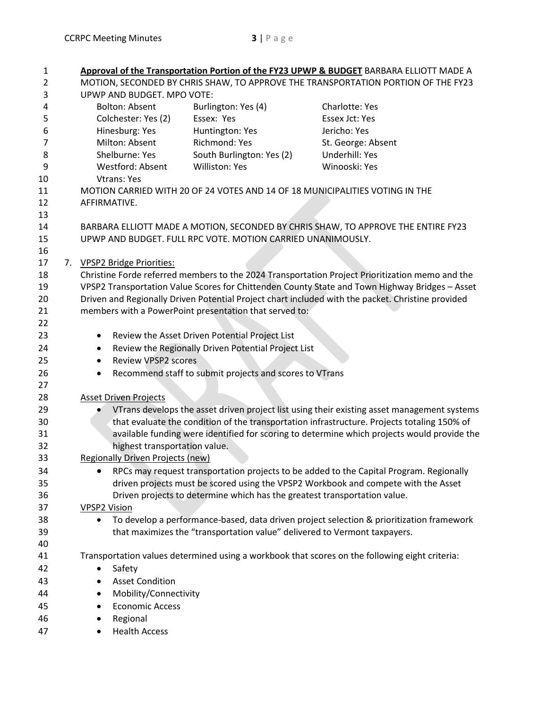| $\mathbf{1}$   |    |                                         |                                                                           | Approval of the Transportation Portion of the FY23 UPWP & BUDGET BARBARA ELLIOTT MADE A           |
|----------------|----|-----------------------------------------|---------------------------------------------------------------------------|---------------------------------------------------------------------------------------------------|
| $\overline{2}$ |    |                                         |                                                                           | MOTION, SECONDED BY CHRIS SHAW, TO APPROVE THE TRANSPORTATION PORTION OF THE FY23                 |
| 3              |    | UPWP AND BUDGET. MPO VOTE:              |                                                                           |                                                                                                   |
| 4              |    | <b>Bolton: Absent</b>                   | Burlington: Yes (4)                                                       | Charlotte: Yes                                                                                    |
| 5              |    | Colchester: Yes (2)                     | Essex: Yes                                                                | Essex Jct: Yes                                                                                    |
| 6              |    | Hinesburg: Yes                          | Huntington: Yes                                                           | Jericho: Yes                                                                                      |
| 7              |    | Milton: Absent                          | Richmond: Yes                                                             | St. George: Absent                                                                                |
| 8              |    | Shelburne: Yes                          | South Burlington: Yes (2)                                                 | Underhill: Yes                                                                                    |
| 9              |    | Westford: Absent                        | Williston: Yes                                                            | Winooski: Yes                                                                                     |
| 10             |    | <b>Vtrans: Yes</b>                      |                                                                           |                                                                                                   |
| 11             |    |                                         |                                                                           | MOTION CARRIED WITH 20 OF 24 VOTES AND 14 OF 18 MUNICIPALITIES VOTING IN THE                      |
| 12             |    | AFFIRMATIVE.                            |                                                                           |                                                                                                   |
| 13             |    |                                         |                                                                           |                                                                                                   |
| 14             |    |                                         |                                                                           | BARBARA ELLIOTT MADE A MOTION, SECONDED BY CHRIS SHAW, TO APPROVE THE ENTIRE FY23                 |
| 15             |    |                                         | UPWP AND BUDGET. FULL RPC VOTE. MOTION CARRIED UNANIMOUSLY.               |                                                                                                   |
| 16             |    |                                         |                                                                           |                                                                                                   |
| 17             | 7. | <b>VPSP2 Bridge Priorities:</b>         |                                                                           |                                                                                                   |
| 18             |    |                                         |                                                                           | Christine Forde referred members to the 2024 Transportation Project Prioritization memo and the   |
| 19             |    |                                         |                                                                           | VPSP2 Transportation Value Scores for Chittenden County State and Town Highway Bridges - Asset    |
| 20             |    |                                         |                                                                           | Driven and Regionally Driven Potential Project chart included with the packet. Christine provided |
| 21             |    |                                         | members with a PowerPoint presentation that served to:                    |                                                                                                   |
| 22             |    |                                         |                                                                           |                                                                                                   |
| 23             |    | ٠                                       | Review the Asset Driven Potential Project List                            |                                                                                                   |
| 24             |    | $\bullet$                               | Review the Regionally Driven Potential Project List                       |                                                                                                   |
| 25             |    | <b>Review VPSP2 scores</b><br>$\bullet$ |                                                                           |                                                                                                   |
| 26             |    | $\bullet$                               | Recommend staff to submit projects and scores to VTrans                   |                                                                                                   |
| 27             |    |                                         |                                                                           |                                                                                                   |
| 28             |    | <b>Asset Driven Projects</b>            |                                                                           |                                                                                                   |
| 29             |    |                                         |                                                                           | VTrans develops the asset driven project list using their existing asset management systems       |
| 30             |    |                                         |                                                                           | that evaluate the condition of the transportation infrastructure. Projects totaling 150% of       |
| 31             |    |                                         |                                                                           | available funding were identified for scoring to determine which projects would provide the       |
| 32             |    | highest transportation value.           |                                                                           |                                                                                                   |
| 33             |    | <b>Regionally Driven Projects (new)</b> |                                                                           |                                                                                                   |
| 34             |    |                                         |                                                                           | RPCs may request transportation projects to be added to the Capital Program. Regionally           |
| 35             |    |                                         |                                                                           | driven projects must be scored using the VPSP2 Workbook and compete with the Asset                |
| 36             |    |                                         | Driven projects to determine which has the greatest transportation value. |                                                                                                   |
| 37             |    | <b>VPSP2 Vision</b>                     |                                                                           |                                                                                                   |
| 38             |    | $\bullet$                               |                                                                           | To develop a performance-based, data driven project selection & prioritization framework          |
| 39             |    |                                         | that maximizes the "transportation value" delivered to Vermont taxpayers. |                                                                                                   |
| 40             |    |                                         |                                                                           |                                                                                                   |
| 41             |    |                                         |                                                                           | Transportation values determined using a workbook that scores on the following eight criteria:    |
| 42             |    | Safety<br>$\bullet$                     |                                                                           |                                                                                                   |
| 43             |    | <b>Asset Condition</b>                  |                                                                           |                                                                                                   |
| 44             |    | Mobility/Connectivity                   |                                                                           |                                                                                                   |
| 45             |    | <b>Economic Access</b><br>٠             |                                                                           |                                                                                                   |
| 46             |    | Regional<br>٠                           |                                                                           |                                                                                                   |
| 47             |    | <b>Health Access</b><br>٠               |                                                                           |                                                                                                   |
|                |    |                                         |                                                                           |                                                                                                   |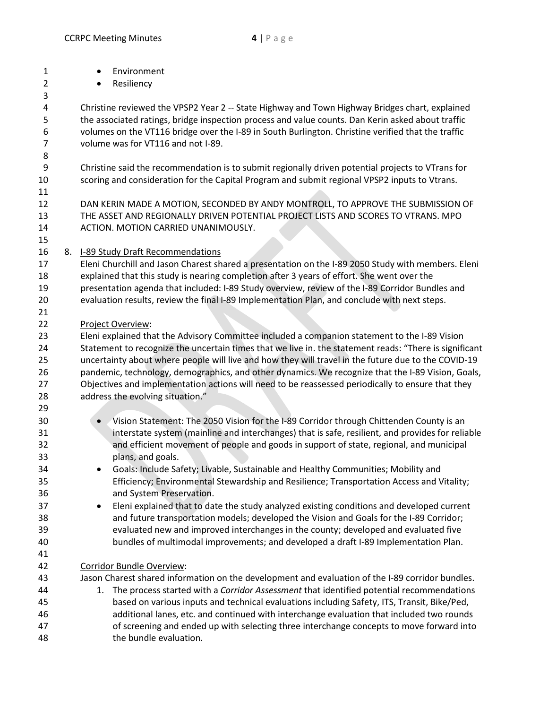| $\mathbf{1}$   | Environment<br>$\bullet$                                                                               |
|----------------|--------------------------------------------------------------------------------------------------------|
| $\overline{2}$ | Resiliency<br>$\bullet$                                                                                |
| 3              |                                                                                                        |
| 4              | Christine reviewed the VPSP2 Year 2 -- State Highway and Town Highway Bridges chart, explained         |
| 5              | the associated ratings, bridge inspection process and value counts. Dan Kerin asked about traffic      |
| 6              | volumes on the VT116 bridge over the I-89 in South Burlington. Christine verified that the traffic     |
| $\overline{7}$ | volume was for VT116 and not I-89.                                                                     |
| 8              |                                                                                                        |
| 9              | Christine said the recommendation is to submit regionally driven potential projects to VTrans for      |
| 10             | scoring and consideration for the Capital Program and submit regional VPSP2 inputs to Vtrans.          |
| 11             |                                                                                                        |
| 12             | DAN KERIN MADE A MOTION, SECONDED BY ANDY MONTROLL, TO APPROVE THE SUBMISSION OF                       |
| 13             | THE ASSET AND REGIONALLY DRIVEN POTENTIAL PROJECT LISTS AND SCORES TO VTRANS. MPO                      |
| 14             | ACTION. MOTION CARRIED UNANIMOUSLY.                                                                    |
| 15             |                                                                                                        |
| 16             | 8. I-89 Study Draft Recommendations                                                                    |
| 17             | Eleni Churchill and Jason Charest shared a presentation on the I-89 2050 Study with members. Eleni     |
| 18             | explained that this study is nearing completion after 3 years of effort. She went over the             |
| 19             | presentation agenda that included: I-89 Study overview, review of the I-89 Corridor Bundles and        |
| 20             | evaluation results, review the final I-89 Implementation Plan, and conclude with next steps.           |
| 21             |                                                                                                        |
| 22             | Project Overview:                                                                                      |
| 23             | Eleni explained that the Advisory Committee included a companion statement to the I-89 Vision          |
| 24             | Statement to recognize the uncertain times that we live in. the statement reads: "There is significant |
| 25             | uncertainty about where people will live and how they will travel in the future due to the COVID-19    |
| 26             | pandemic, technology, demographics, and other dynamics. We recognize that the I-89 Vision, Goals,      |
| 27             | Objectives and implementation actions will need to be reassessed periodically to ensure that they      |
| 28             | address the evolving situation."                                                                       |
| 29             |                                                                                                        |
| 30             | Vision Statement: The 2050 Vision for the I-89 Corridor through Chittenden County is an                |
| 31             | interstate system (mainline and interchanges) that is safe, resilient, and provides for reliable       |
| 32             | and efficient movement of people and goods in support of state, regional, and municipal                |
| 33             | plans, and goals.                                                                                      |
| 34             | Goals: Include Safety; Livable, Sustainable and Healthy Communities; Mobility and                      |
| 35             | Efficiency; Environmental Stewardship and Resilience; Transportation Access and Vitality;              |
| 36             | and System Preservation.                                                                               |
| 37             | Eleni explained that to date the study analyzed existing conditions and developed current<br>٠         |
| 38             | and future transportation models; developed the Vision and Goals for the I-89 Corridor;                |
| 39             | evaluated new and improved interchanges in the county; developed and evaluated five                    |
| 40             | bundles of multimodal improvements; and developed a draft I-89 Implementation Plan.                    |
| 41             |                                                                                                        |
| 42             | Corridor Bundle Overview:                                                                              |
| 43             | Jason Charest shared information on the development and evaluation of the I-89 corridor bundles.       |
| 44             | 1. The process started with a Corridor Assessment that identified potential recommendations            |
| 45             | based on various inputs and technical evaluations including Safety, ITS, Transit, Bike/Ped,            |
| 46             | additional lanes, etc. and continued with interchange evaluation that included two rounds              |
| 47             | of screening and ended up with selecting three interchange concepts to move forward into               |

48 the bundle evaluation.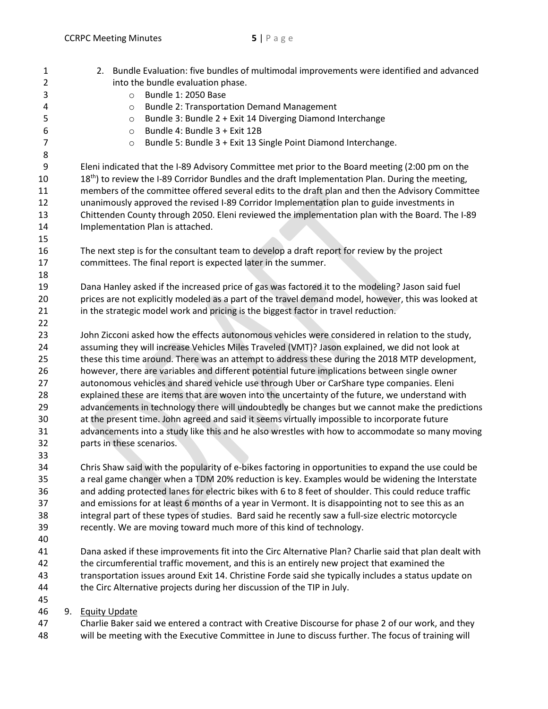| $\mathbf{1}$<br>2 | 2. Bundle Evaluation: five bundles of multimodal improvements were identified and advanced<br>into the bundle evaluation phase. |
|-------------------|---------------------------------------------------------------------------------------------------------------------------------|
| 3<br>4            | Bundle 1: 2050 Base<br>$\circ$                                                                                                  |
| 5                 | <b>Bundle 2: Transportation Demand Management</b><br>$\circ$<br>Bundle 3: Bundle 2 + Exit 14 Diverging Diamond Interchange      |
| 6                 | $\circ$<br>Bundle 4: Bundle 3 + Exit 12B<br>$\circ$                                                                             |
| $\overline{7}$    | Bundle 5: Bundle 3 + Exit 13 Single Point Diamond Interchange.<br>$\circ$                                                       |
| 8                 |                                                                                                                                 |
| 9                 | Eleni indicated that the I-89 Advisory Committee met prior to the Board meeting (2:00 pm on the                                 |
| 10                | 18 <sup>th</sup> ) to review the I-89 Corridor Bundles and the draft Implementation Plan. During the meeting,                   |
| 11                | members of the committee offered several edits to the draft plan and then the Advisory Committee                                |
| 12                | unanimously approved the revised I-89 Corridor Implementation plan to guide investments in                                      |
| 13                | Chittenden County through 2050. Eleni reviewed the implementation plan with the Board. The I-89                                 |
| 14                | Implementation Plan is attached.                                                                                                |
| 15                |                                                                                                                                 |
| 16                | The next step is for the consultant team to develop a draft report for review by the project                                    |
| 17                | committees. The final report is expected later in the summer.                                                                   |
| 18                |                                                                                                                                 |
| 19                | Dana Hanley asked if the increased price of gas was factored it to the modeling? Jason said fuel                                |
| 20                | prices are not explicitly modeled as a part of the travel demand model, however, this was looked at                             |
| 21                | in the strategic model work and pricing is the biggest factor in travel reduction.                                              |
| 22                |                                                                                                                                 |
| 23                | John Zicconi asked how the effects autonomous vehicles were considered in relation to the study,                                |
| 24                | assuming they will increase Vehicles Miles Traveled (VMT)? Jason explained, we did not look at                                  |
| 25                | these this time around. There was an attempt to address these during the 2018 MTP development,                                  |
| 26                | however, there are variables and different potential future implications between single owner                                   |
| 27                | autonomous vehicles and shared vehicle use through Uber or CarShare type companies. Eleni                                       |
| 28                | explained these are items that are woven into the uncertainty of the future, we understand with                                 |
| 29                | advancements in technology there will undoubtedly be changes but we cannot make the predictions                                 |
| 30                | at the present time. John agreed and said it seems virtually impossible to incorporate future                                   |
| 31                | advancements into a study like this and he also wrestles with how to accommodate so many moving                                 |
| 32                | parts in these scenarios.                                                                                                       |
| 33                |                                                                                                                                 |
| 34                | Chris Shaw said with the popularity of e-bikes factoring in opportunities to expand the use could be                            |
| 35                | a real game changer when a TDM 20% reduction is key. Examples would be widening the Interstate                                  |
| 36                | and adding protected lanes for electric bikes with 6 to 8 feet of shoulder. This could reduce traffic                           |
| 37                | and emissions for at least 6 months of a year in Vermont. It is disappointing not to see this as an                             |
| 38                | integral part of these types of studies. Bard said he recently saw a full-size electric motorcycle                              |
| 39                | recently. We are moving toward much more of this kind of technology.                                                            |
| 40<br>41          | Dana asked if these improvements fit into the Circ Alternative Plan? Charlie said that plan dealt with                          |
| 42                | the circumferential traffic movement, and this is an entirely new project that examined the                                     |
| 43                | transportation issues around Exit 14. Christine Forde said she typically includes a status update on                            |
| 44                | the Circ Alternative projects during her discussion of the TIP in July.                                                         |
| 45                |                                                                                                                                 |
| 46                | 9. Equity Update                                                                                                                |
| 47                | Charlie Baker said we entered a contract with Creative Discourse for phase 2 of our work, and they                              |
| 48                | will be meeting with the Executive Committee in June to discuss further. The focus of training will                             |